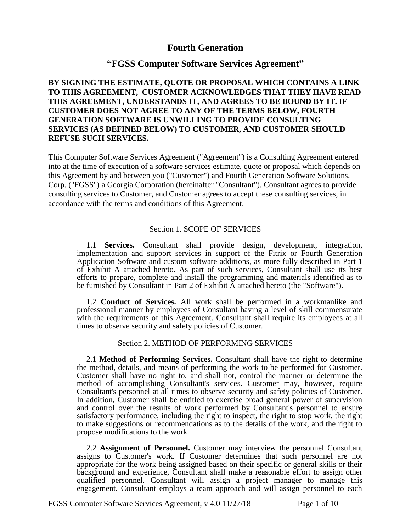# **Fourth Generation**

# **"FGSS Computer Software Services Agreement"**

## **BY SIGNING THE ESTIMATE, QUOTE OR PROPOSAL WHICH CONTAINS A LINK TO THIS AGREEMENT, CUSTOMER ACKNOWLEDGES THAT THEY HAVE READ THIS AGREEMENT, UNDERSTANDS IT, AND AGREES TO BE BOUND BY IT. IF CUSTOMER DOES NOT AGREE TO ANY OF THE TERMS BELOW, FOURTH GENERATION SOFTWARE IS UNWILLING TO PROVIDE CONSULTING SERVICES (AS DEFINED BELOW) TO CUSTOMER, AND CUSTOMER SHOULD REFUSE SUCH SERVICES.**

This Computer Software Services Agreement ("Agreement") is a Consulting Agreement entered into at the time of execution of a software services estimate, quote or proposal which depends on this Agreement by and between you ("Customer") and Fourth Generation Software Solutions, Corp. ("FGSS") a Georgia Corporation (hereinafter "Consultant"). Consultant agrees to provide consulting services to Customer, and Customer agrees to accept these consulting services, in accordance with the terms and conditions of this Agreement.

## Section 1. SCOPE OF SERVICES

1.1 **Services.** Consultant shall provide design, development, integration, implementation and support services in support of the Fitrix or Fourth Generation Application Software and custom software additions, as more fully described in Part 1 of Exhibit A attached hereto. As part of such services, Consultant shall use its best efforts to prepare, complete and install the programming and materials identified as to be furnished by Consultant in Part 2 of Exhibit A attached hereto (the "Software").

1.2 **Conduct of Services.** All work shall be performed in a workmanlike and professional manner by employees of Consultant having a level of skill commensurate with the requirements of this Agreement. Consultant shall require its employees at all times to observe security and safety policies of Customer.

## Section 2. METHOD OF PERFORMING SERVICES

2.1 **Method of Performing Services.** Consultant shall have the right to determine the method, details, and means of performing the work to be performed for Customer. Customer shall have no right to, and shall not, control the manner or determine the method of accomplishing Consultant's services. Customer may, however, require Consultant's personnel at all times to observe security and safety policies of Customer. In addition, Customer shall be entitled to exercise broad general power of supervision and control over the results of work performed by Consultant's personnel to ensure satisfactory performance, including the right to inspect, the right to stop work, the right to make suggestions or recommendations as to the details of the work, and the right to propose modifications to the work.

2.2 **Assignment of Personnel.** Customer may interview the personnel Consultant assigns to Customer's work. If Customer determines that such personnel are not appropriate for the work being assigned based on their specific or general skills or their background and experience, Consultant shall make a reasonable effort to assign other qualified personnel. Consultant will assign a project manager to manage this engagement. Consultant employs a team approach and will assign personnel to each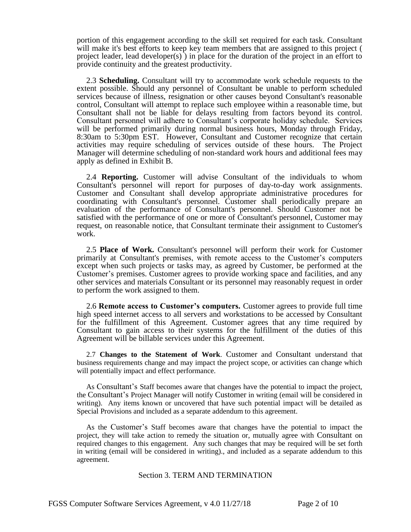portion of this engagement according to the skill set required for each task. Consultant will make it's best efforts to keep key team members that are assigned to this project ( project leader, lead developer(s)  $\overline{\phantom{a}}$  in place for the duration of the project in an effort to provide continuity and the greatest productivity.

2.3 **Scheduling.** Consultant will try to accommodate work schedule requests to the extent possible. Should any personnel of Consultant be unable to perform scheduled services because of illness, resignation or other causes beyond Consultant's reasonable control, Consultant will attempt to replace such employee within a reasonable time, but Consultant shall not be liable for delays resulting from factors beyond its control. Consultant personnel will adhere to Consultant's corporate holiday schedule. Services will be performed primarily during normal business hours, Monday through Friday, 8:30am to 5:30pm EST. However, Consultant and Customer recognize that certain activities may require scheduling of services outside of these hours. The Project Manager will determine scheduling of non-standard work hours and additional fees may apply as defined in Exhibit B.

2.4 **Reporting.** Customer will advise Consultant of the individuals to whom Consultant's personnel will report for purposes of day-to-day work assignments. Customer and Consultant shall develop appropriate administrative procedures for coordinating with Consultant's personnel. Customer shall periodically prepare an evaluation of the performance of Consultant's personnel. Should Customer not be satisfied with the performance of one or more of Consultant's personnel, Customer may request, on reasonable notice, that Consultant terminate their assignment to Customer's work.

2.5 **Place of Work.** Consultant's personnel will perform their work for Customer primarily at Consultant's premises, with remote access to the Customer's computers except when such projects or tasks may, as agreed by Customer, be performed at the Customer's premises. Customer agrees to provide working space and facilities, and any other services and materials Consultant or its personnel may reasonably request in order to perform the work assigned to them.

2.6 **Remote access to Customer's computers.** Customer agrees to provide full time high speed internet access to all servers and workstations to be accessed by Consultant for the fulfillment of this Agreement. Customer agrees that any time required by Consultant to gain access to their systems for the fulfillment of the duties of this Agreement will be billable services under this Agreement.

2.7 **Changes to the Statement of Work**. Customer and Consultant understand that business requirements change and may impact the project scope, or activities can change which will potentially impact and effect performance.

As Consultant's Staff becomes aware that changes have the potential to impact the project, the Consultant's Project Manager will notify Customer in writing (email will be considered in writing). Any items known or uncovered that have such potential impact will be detailed as Special Provisions and included as a separate addendum to this agreement.

As the Customer's Staff becomes aware that changes have the potential to impact the project, they will take action to remedy the situation or, mutually agree with Consultant on required changes to this engagement. Any such changes that may be required will be set forth in writing (email will be considered in writing)., and included as a separate addendum to this agreement.

#### Section 3. TERM AND TERMINATION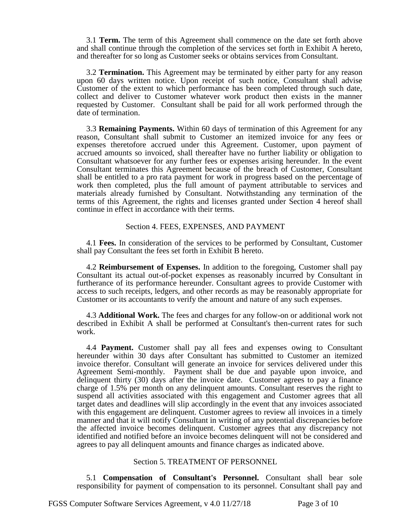3.1 **Term.** The term of this Agreement shall commence on the date set forth above and shall continue through the completion of the services set forth in Exhibit A hereto, and thereafter for so long as Customer seeks or obtains services from Consultant.

3.2 **Termination.** This Agreement may be terminated by either party for any reason upon 60 days written notice. Upon receipt of such notice, Consultant shall advise Customer of the extent to which performance has been completed through such date, collect and deliver to Customer whatever work product then exists in the manner requested by Customer. Consultant shall be paid for all work performed through the date of termination.

3.3 **Remaining Payments.** Within 60 days of termination of this Agreement for any reason, Consultant shall submit to Customer an itemized invoice for any fees or expenses theretofore accrued under this Agreement. Customer, upon payment of accrued amounts so invoiced, shall thereafter have no further liability or obligation to Consultant whatsoever for any further fees or expenses arising hereunder. In the event Consultant terminates this Agreement because of the breach of Customer, Consultant shall be entitled to a pro rata payment for work in progress based on the percentage of work then completed, plus the full amount of payment attributable to services and materials already furnished by Consultant. Notwithstanding any termination of the terms of this Agreement, the rights and licenses granted under Section 4 hereof shall continue in effect in accordance with their terms.

#### Section 4. FEES, EXPENSES, AND PAYMENT

4.1 **Fees.** In consideration of the services to be performed by Consultant, Customer shall pay Consultant the fees set forth in Exhibit B hereto.

4.2 **Reimbursement of Expenses.** In addition to the foregoing, Customer shall pay Consultant its actual out-of-pocket expenses as reasonably incurred by Consultant in furtherance of its performance hereunder. Consultant agrees to provide Customer with access to such receipts, ledgers, and other records as may be reasonably appropriate for Customer or its accountants to verify the amount and nature of any such expenses.

4.3 **Additional Work.** The fees and charges for any follow-on or additional work not described in Exhibit A shall be performed at Consultant's then-current rates for such work.

4.4 **Payment.** Customer shall pay all fees and expenses owing to Consultant hereunder within 30 days after Consultant has submitted to Customer an itemized invoice therefor. Consultant will generate an invoice for services delivered under this Agreement Semi-monthly. Payment shall be due and payable upon invoice, and delinquent thirty (30) days after the invoice date. Customer agrees to pay a finance charge of 1.5% per month on any delinquent amounts. Consultant reserves the right to suspend all activities associated with this engagement and Customer agrees that all target dates and deadlines will slip accordingly in the event that any invoices associated with this engagement are delinquent. Customer agrees to review all invoices in a timely manner and that it will notify Consultant in writing of any potential discrepancies before the affected invoice becomes delinquent. Customer agrees that any discrepancy not identified and notified before an invoice becomes delinquent will not be considered and agrees to pay all delinquent amounts and finance charges as indicated above.

### Section 5. TREATMENT OF PERSONNEL

5.1 **Compensation of Consultant's Personnel.** Consultant shall bear sole responsibility for payment of compensation to its personnel. Consultant shall pay and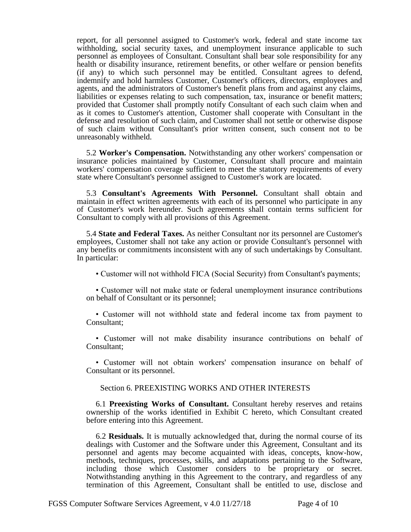report, for all personnel assigned to Customer's work, federal and state income tax withholding, social security taxes, and unemployment insurance applicable to such personnel as employees of Consultant. Consultant shall bear sole responsibility for any health or disability insurance, retirement benefits, or other welfare or pension benefits (if any) to which such personnel may be entitled. Consultant agrees to defend, indemnify and hold harmless Customer, Customer's officers, directors, employees and agents, and the administrators of Customer's benefit plans from and against any claims, liabilities or expenses relating to such compensation, tax, insurance or benefit matters; provided that Customer shall promptly notify Consultant of each such claim when and as it comes to Customer's attention, Customer shall cooperate with Consultant in the defense and resolution of such claim, and Customer shall not settle or otherwise dispose of such claim without Consultant's prior written consent, such consent not to be unreasonably withheld.

5.2 **Worker's Compensation.** Notwithstanding any other workers' compensation or insurance policies maintained by Customer, Consultant shall procure and maintain workers' compensation coverage sufficient to meet the statutory requirements of every state where Consultant's personnel assigned to Customer's work are located.

5.3 **Consultant's Agreements With Personnel.** Consultant shall obtain and maintain in effect written agreements with each of its personnel who participate in any of Customer's work hereunder. Such agreements shall contain terms sufficient for Consultant to comply with all provisions of this Agreement.

5.4 **State and Federal Taxes.** As neither Consultant nor its personnel are Customer's employees, Customer shall not take any action or provide Consultant's personnel with any benefits or commitments inconsistent with any of such undertakings by Consultant. In particular:

• Customer will not withhold FICA (Social Security) from Consultant's payments;

• Customer will not make state or federal unemployment insurance contributions on behalf of Consultant or its personnel;

• Customer will not withhold state and federal income tax from payment to Consultant;

• Customer will not make disability insurance contributions on behalf of Consultant;

• Customer will not obtain workers' compensation insurance on behalf of Consultant or its personnel.

Section 6. PREEXISTING WORKS AND OTHER INTERESTS

6.1 **Preexisting Works of Consultant.** Consultant hereby reserves and retains ownership of the works identified in Exhibit C hereto, which Consultant created before entering into this Agreement.

6.2 **Residuals.** It is mutually acknowledged that, during the normal course of its dealings with Customer and the Software under this Agreement, Consultant and its personnel and agents may become acquainted with ideas, concepts, know-how, methods, techniques, processes, skills, and adaptations pertaining to the Software, including those which Customer considers to be proprietary or secret. Notwithstanding anything in this Agreement to the contrary, and regardless of any termination of this Agreement, Consultant shall be entitled to use, disclose and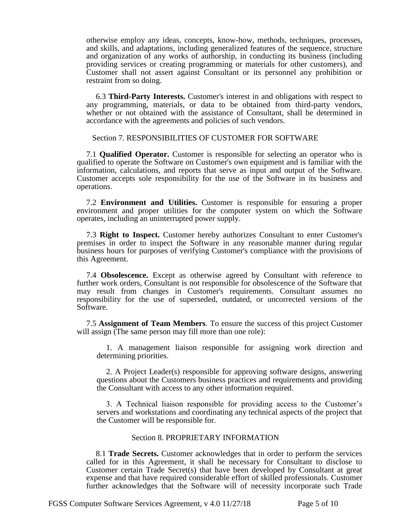otherwise employ any ideas, concepts, know-how, methods, techniques, processes, and skills, and adaptations, including generalized features of the sequence, structure and organization of any works of authorship, in conducting its business (including providing services or creating programming or materials for other customers), and Customer shall not assert against Consultant or its personnel any prohibition or restraint from so doing.

6.3 **Third-Party Interests.** Customer's interest in and obligations with respect to any programming, materials, or data to be obtained from third-party vendors, whether or not obtained with the assistance of Consultant, shall be determined in accordance with the agreements and policies of such vendors.

#### Section 7. RESPONSIBILITIES OF CUSTOMER FOR SOFTWARE

7.1 **Qualified Operator.** Customer is responsible for selecting an operator who is qualified to operate the Software on Customer's own equipment and is familiar with the information, calculations, and reports that serve as input and output of the Software. Customer accepts sole responsibility for the use of the Software in its business and operations.

7.2 **Environment and Utilities.** Customer is responsible for ensuring a proper environment and proper utilities for the computer system on which the Software operates, including an uninterrupted power supply.

7.3 **Right to Inspect.** Customer hereby authorizes Consultant to enter Customer's premises in order to inspect the Software in any reasonable manner during regular business hours for purposes of verifying Customer's compliance with the provisions of this Agreement.

7.4 **Obsolescence.** Except as otherwise agreed by Consultant with reference to further work orders, Consultant is not responsible for obsolescence of the Software that may result from changes in Customer's requirements. Consultant assumes no responsibility for the use of superseded, outdated, or uncorrected versions of the Software.

7.5 **Assignment of Team Members**. To ensure the success of this project Customer will assign (The same person may fill more than one role):

1. A management liaison responsible for assigning work direction and determining priorities.

2. A Project Leader(s) responsible for approving software designs, answering questions about the Customers business practices and requirements and providing the Consultant with access to any other information required.

3. A Technical liaison responsible for providing access to the Customer's servers and workstations and coordinating any technical aspects of the project that the Customer will be responsible for.

#### Section 8. PROPRIETARY INFORMATION

8.1 **Trade Secrets.** Customer acknowledges that in order to perform the services called for in this Agreement, it shall be necessary for Consultant to disclose to Customer certain Trade Secret(s) that have been developed by Consultant at great expense and that have required considerable effort of skilled professionals. Customer further acknowledges that the Software will of necessity incorporate such Trade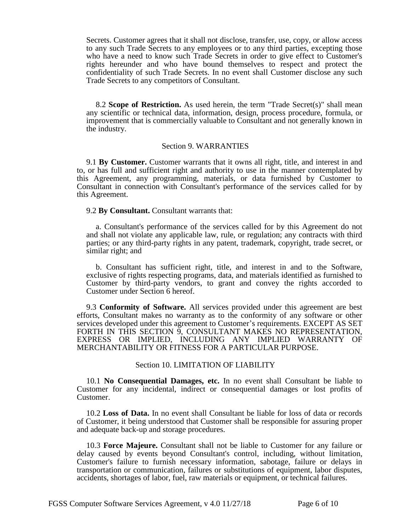Secrets. Customer agrees that it shall not disclose, transfer, use, copy, or allow access to any such Trade Secrets to any employees or to any third parties, excepting those who have a need to know such Trade Secrets in order to give effect to Customer's rights hereunder and who have bound themselves to respect and protect the confidentiality of such Trade Secrets. In no event shall Customer disclose any such Trade Secrets to any competitors of Consultant.

8.2 **Scope of Restriction.** As used herein, the term "Trade Secret(s)" shall mean any scientific or technical data, information, design, process procedure, formula, or improvement that is commercially valuable to Consultant and not generally known in the industry.

#### Section 9. WARRANTIES

9.1 **By Customer.** Customer warrants that it owns all right, title, and interest in and to, or has full and sufficient right and authority to use in the manner contemplated by this Agreement, any programming, materials, or data furnished by Customer to Consultant in connection with Consultant's performance of the services called for by this Agreement.

#### 9.2 **By Consultant.** Consultant warrants that:

a. Consultant's performance of the services called for by this Agreement do not and shall not violate any applicable law, rule, or regulation; any contracts with third parties; or any third-party rights in any patent, trademark, copyright, trade secret, or similar right; and

b. Consultant has sufficient right, title, and interest in and to the Software, exclusive of rights respecting programs, data, and materials identified as furnished to Customer by third-party vendors, to grant and convey the rights accorded to Customer under Section 6 hereof.

9.3 **Conformity of Software.** All services provided under this agreement are best efforts, Consultant makes no warranty as to the conformity of any software or other services developed under this agreement to Customer's requirements. EXCEPT AS SET FORTH IN THIS SECTION 9, CONSULTANT MAKES NO REPRESENTATION, EXPRESS OR IMPLIED, INCLUDING ANY IMPLIED WARRANTY OF MERCHANTABILITY OR FITNESS FOR A PARTICULAR PURPOSE.

#### Section 10. LIMITATION OF LIABILITY

10.1 **No Consequential Damages, etc.** In no event shall Consultant be liable to Customer for any incidental, indirect or consequential damages or lost profits of Customer.

10.2 **Loss of Data.** In no event shall Consultant be liable for loss of data or records of Customer, it being understood that Customer shall be responsible for assuring proper and adequate back-up and storage procedures.

10.3 **Force Majeure.** Consultant shall not be liable to Customer for any failure or delay caused by events beyond Consultant's control, including, without limitation, Customer's failure to furnish necessary information, sabotage, failure or delays in transportation or communication, failures or substitutions of equipment, labor disputes, accidents, shortages of labor, fuel, raw materials or equipment, or technical failures.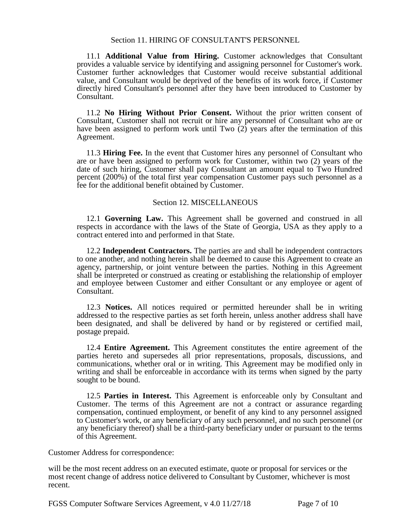#### Section 11. HIRING OF CONSULTANT'S PERSONNEL

11.1 **Additional Value from Hiring.** Customer acknowledges that Consultant provides a valuable service by identifying and assigning personnel for Customer's work. Customer further acknowledges that Customer would receive substantial additional value, and Consultant would be deprived of the benefits of its work force, if Customer directly hired Consultant's personnel after they have been introduced to Customer by Consultant.

11.2 **No Hiring Without Prior Consent.** Without the prior written consent of Consultant, Customer shall not recruit or hire any personnel of Consultant who are or have been assigned to perform work until Two  $(2)$  years after the termination of this Agreement.

11.3 **Hiring Fee.** In the event that Customer hires any personnel of Consultant who are or have been assigned to perform work for Customer, within two (2) years of the date of such hiring, Customer shall pay Consultant an amount equal to Two Hundred percent (200%) of the total first year compensation Customer pays such personnel as a fee for the additional benefit obtained by Customer.

#### Section 12. MISCELLANEOUS

12.1 **Governing Law.** This Agreement shall be governed and construed in all respects in accordance with the laws of the State of Georgia, USA as they apply to a contract entered into and performed in that State.

12.2 **Independent Contractors.** The parties are and shall be independent contractors to one another, and nothing herein shall be deemed to cause this Agreement to create an agency, partnership, or joint venture between the parties. Nothing in this Agreement shall be interpreted or construed as creating or establishing the relationship of employer and employee between Customer and either Consultant or any employee or agent of Consultant.

12.3 **Notices.** All notices required or permitted hereunder shall be in writing addressed to the respective parties as set forth herein, unless another address shall have been designated, and shall be delivered by hand or by registered or certified mail, postage prepaid.

12.4 **Entire Agreement.** This Agreement constitutes the entire agreement of the parties hereto and supersedes all prior representations, proposals, discussions, and communications, whether oral or in writing. This Agreement may be modified only in writing and shall be enforceable in accordance with its terms when signed by the party sought to be bound.

12.5 **Parties in Interest.** This Agreement is enforceable only by Consultant and Customer. The terms of this Agreement are not a contract or assurance regarding compensation, continued employment, or benefit of any kind to any personnel assigned to Customer's work, or any beneficiary of any such personnel, and no such personnel (or any beneficiary thereof) shall be a third-party beneficiary under or pursuant to the terms of this Agreement.

Customer Address for correspondence:

will be the most recent address on an executed estimate, quote or proposal for services or the most recent change of address notice delivered to Consultant by Customer, whichever is most recent.

FGSS Computer Software Services Agreement, v 4.0 11/27/18 Page 7 of 10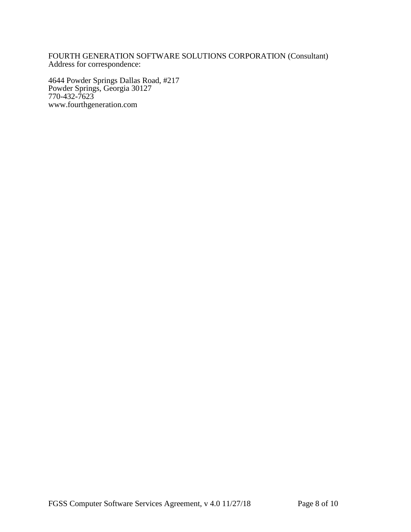## FOURTH GENERATION SOFTWARE SOLUTIONS CORPORATION (Consultant) Address for correspondence:

4644 Powder Springs Dallas Road, #217 Powder Springs, Georgia 30127 770-432-7623 www.fourthgeneration.com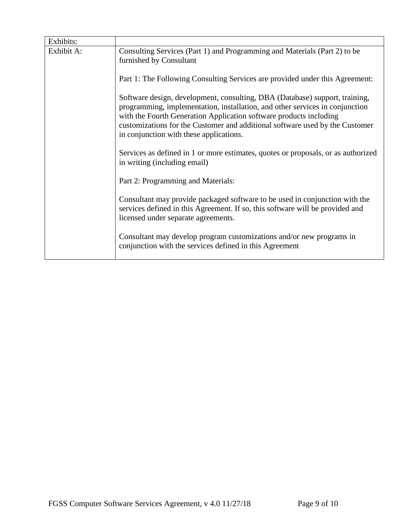| Exhibits:  |                                                                                                                                                                                                                                                                                                                                                              |
|------------|--------------------------------------------------------------------------------------------------------------------------------------------------------------------------------------------------------------------------------------------------------------------------------------------------------------------------------------------------------------|
| Exhibit A: | Consulting Services (Part 1) and Programming and Materials (Part 2) to be<br>furnished by Consultant                                                                                                                                                                                                                                                         |
|            | Part 1: The Following Consulting Services are provided under this Agreement:                                                                                                                                                                                                                                                                                 |
|            | Software design, development, consulting, DBA (Database) support, training,<br>programming, implementation, installation, and other services in conjunction<br>with the Fourth Generation Application software products including<br>customizations for the Customer and additional software used by the Customer<br>in conjunction with these applications. |
|            | Services as defined in 1 or more estimates, quotes or proposals, or as authorized<br>in writing (including email)                                                                                                                                                                                                                                            |
|            | Part 2: Programming and Materials:                                                                                                                                                                                                                                                                                                                           |
|            | Consultant may provide packaged software to be used in conjunction with the<br>services defined in this Agreement. If so, this software will be provided and<br>licensed under separate agreements.                                                                                                                                                          |
|            | Consultant may develop program customizations and/or new programs in<br>conjunction with the services defined in this Agreement                                                                                                                                                                                                                              |